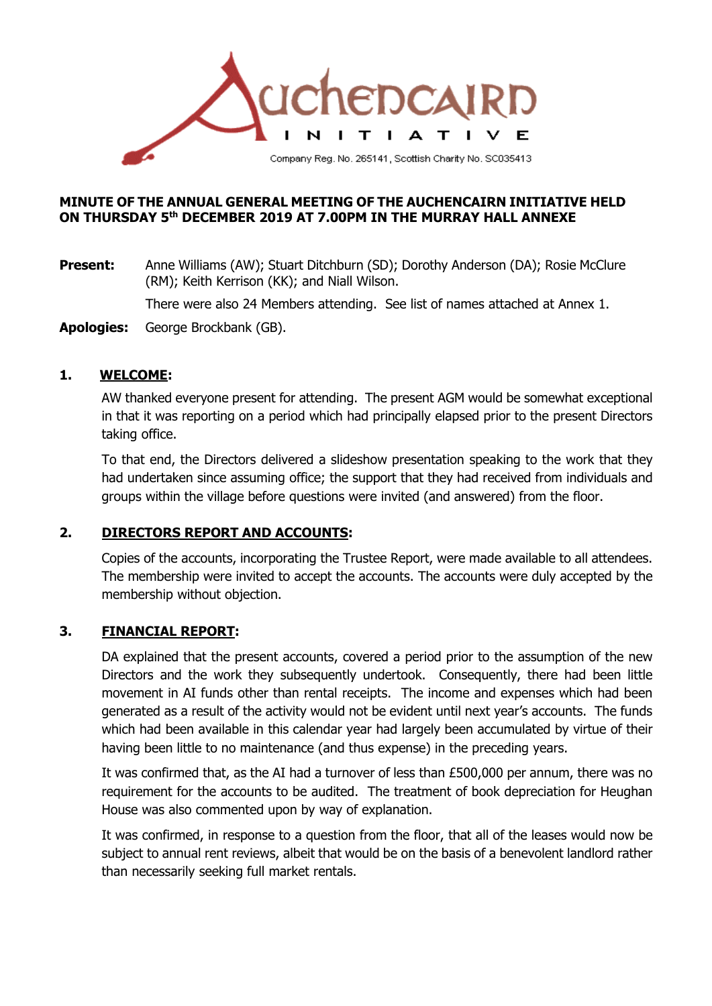

#### **MINUTE OF THE ANNUAL GENERAL MEETING OF THE AUCHENCAIRN INITIATIVE HELD ON THURSDAY 5th DECEMBER 2019 AT 7.00PM IN THE MURRAY HALL ANNEXE**

**Present:** Anne Williams (AW); Stuart Ditchburn (SD); Dorothy Anderson (DA); Rosie McClure (RM); Keith Kerrison (KK); and Niall Wilson.

There were also 24 Members attending. See list of names attached at Annex 1.

**Apologies:** George Brockbank (GB).

#### **1. WELCOME:**

AW thanked everyone present for attending. The present AGM would be somewhat exceptional in that it was reporting on a period which had principally elapsed prior to the present Directors taking office.

To that end, the Directors delivered a slideshow presentation speaking to the work that they had undertaken since assuming office; the support that they had received from individuals and groups within the village before questions were invited (and answered) from the floor.

## **2. DIRECTORS REPORT AND ACCOUNTS:**

Copies of the accounts, incorporating the Trustee Report, were made available to all attendees. The membership were invited to accept the accounts. The accounts were duly accepted by the membership without objection.

## **3. FINANCIAL REPORT:**

DA explained that the present accounts, covered a period prior to the assumption of the new Directors and the work they subsequently undertook. Consequently, there had been little movement in AI funds other than rental receipts. The income and expenses which had been generated as a result of the activity would not be evident until next year's accounts. The funds which had been available in this calendar year had largely been accumulated by virtue of their having been little to no maintenance (and thus expense) in the preceding years.

It was confirmed that, as the AI had a turnover of less than £500,000 per annum, there was no requirement for the accounts to be audited. The treatment of book depreciation for Heughan House was also commented upon by way of explanation.

It was confirmed, in response to a question from the floor, that all of the leases would now be subject to annual rent reviews, albeit that would be on the basis of a benevolent landlord rather than necessarily seeking full market rentals.